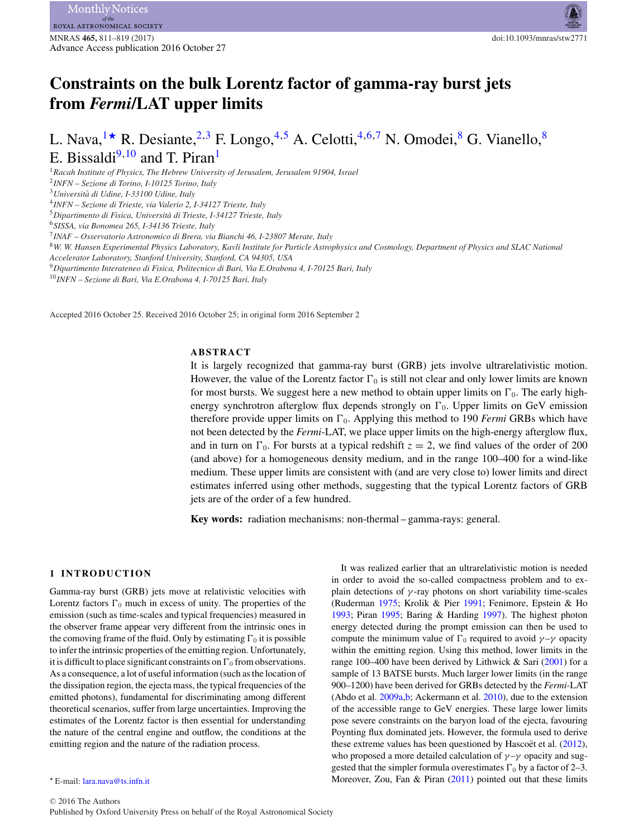# **Constraints on the bulk Lorentz factor of gamma-ray burst jets from** *Fermi***/LAT upper limits**

# L. Nava,  $1\star$  $1\star$  R. Desiante,  $2.3$  $2.3$  F. Longo,  $4.5$  $4.5$  A. Celotti,  $4.6.7$  $4.6.7$  N. Omodei,  $8$  G. Vianello,  $8$ E. Bissaldi $9,10$  $9,10$  and T. Piran<sup>1</sup>

<span id="page-0-0"></span><sup>1</sup>*Racah Institute of Physics, The Hebrew University of Jerusalem, Jerusalem 91904, Israel*

<span id="page-0-3"></span><sup>3</sup>*Universita di Udine, I-33100 Udine, Italy `*

<span id="page-0-4"></span><sup>4</sup>*INFN – Sezione di Trieste, via Valerio 2, I-34127 Trieste, Italy*

<span id="page-0-5"></span><sup>5</sup>*Dipartimento di Fisica, Universita di Trieste, I-34127 Trieste, Italy `*

<span id="page-0-6"></span><sup>6</sup>*SISSA, via Bonomea 265, I-34136 Trieste, Italy*

<span id="page-0-7"></span><sup>7</sup>*INAF – Osservatorio Astronomico di Brera, via Bianchi 46, I-23807 Merate, Italy*

<span id="page-0-8"></span><sup>8</sup>*W. W. Hansen Experimental Physics Laboratory, Kavli Institute for Particle Astrophysics and Cosmology, Department of Physics and SLAC National*

*Accelerator Laboratory, Stanford University, Stanford, CA 94305, USA*

<span id="page-0-9"></span><sup>9</sup>*Dipartimento Interateneo di Fisica, Politecnico di Bari, Via E.Orabona 4, I-70125 Bari, Italy*

<span id="page-0-10"></span><sup>10</sup>*INFN – Sezione di Bari, Via E.Orabona 4, I-70125 Bari, Italy*

Accepted 2016 October 25. Received 2016 October 25; in original form 2016 September 2

### **ABSTRACT**

It is largely recognized that gamma-ray burst (GRB) jets involve ultrarelativistic motion. However, the value of the Lorentz factor  $\Gamma_0$  is still not clear and only lower limits are known for most bursts. We suggest here a new method to obtain upper limits on  $\Gamma_0$ . The early highenergy synchrotron afterglow flux depends strongly on  $\Gamma_0$ . Upper limits on GeV emission therefore provide upper limits on  $\Gamma_0$ . Applying this method to 190 *Fermi* GRBs which have not been detected by the *Fermi*-LAT, we place upper limits on the high-energy afterglow flux, and in turn on  $\Gamma_0$ . For bursts at a typical redshift  $z = 2$ , we find values of the order of 200 (and above) for a homogeneous density medium, and in the range 100–400 for a wind-like medium. These upper limits are consistent with (and are very close to) lower limits and direct estimates inferred using other methods, suggesting that the typical Lorentz factors of GRB jets are of the order of a few hundred.

**Key words:** radiation mechanisms: non-thermal – gamma-rays: general.

## **1 INTRODUCTION**

Gamma-ray burst (GRB) jets move at relativistic velocities with Lorentz factors  $\Gamma_0$  much in excess of unity. The properties of the emission (such as time-scales and typical frequencies) measured in the observer frame appear very different from the intrinsic ones in the comoving frame of the fluid. Only by estimating  $\Gamma_0$  it is possible to infer the intrinsic properties of the emitting region. Unfortunately, it is difficult to place significant constraints on  $\Gamma_0$  from observations. As a consequence, a lot of useful information (such as the location of the dissipation region, the ejecta mass, the typical frequencies of the emitted photons), fundamental for discriminating among different theoretical scenarios, suffer from large uncertainties. Improving the estimates of the Lorentz factor is then essential for understanding the nature of the central engine and outflow, the conditions at the emitting region and the nature of the radiation process.

It was realized earlier that an ultrarelativistic motion is needed in order to avoid the so-called compactness problem and to explain detections of  $\gamma$ -ray photons on short variability time-scales (Ruderman [1975;](#page-8-0) Krolik & Pier [1991;](#page-8-1) Fenimore, Epstein & Ho [1993;](#page-8-2) Piran [1995;](#page-8-3) Baring & Harding [1997\)](#page-8-4). The highest photon energy detected during the prompt emission can then be used to compute the minimum value of  $\Gamma_0$  required to avoid  $\gamma - \gamma$  opacity within the emitting region. Using this method, lower limits in the range 100–400 have been derived by Lithwick & Sari [\(2001\)](#page-8-5) for a sample of 13 BATSE bursts. Much larger lower limits (in the range 900–1200) have been derived for GRBs detected by the *Fermi*-LAT (Abdo et al. [2009a](#page-8-6)[,b;](#page-8-7) Ackermann et al. [2010\)](#page-8-8), due to the extension of the accessible range to GeV energies. These large lower limits pose severe constraints on the baryon load of the ejecta, favouring Poynting flux dominated jets. However, the formula used to derive these extreme values has been questioned by Hascoët et al.  $(2012)$  $(2012)$ , who proposed a more detailed calculation of  $\gamma-\gamma$  opacity and suggested that the simpler formula overestimates  $\Gamma_0$  by a factor of 2–3. Moreover, Zou, Fan & Piran [\(2011\)](#page-8-10) pointed out that these limits

<span id="page-0-2"></span><sup>2</sup>*INFN – Sezione di Torino, I-10125 Torino, Italy*

<span id="page-0-1"></span>E-mail: [lara.nava@ts.infn.it](mailto:lara.nava@ts.infn.it)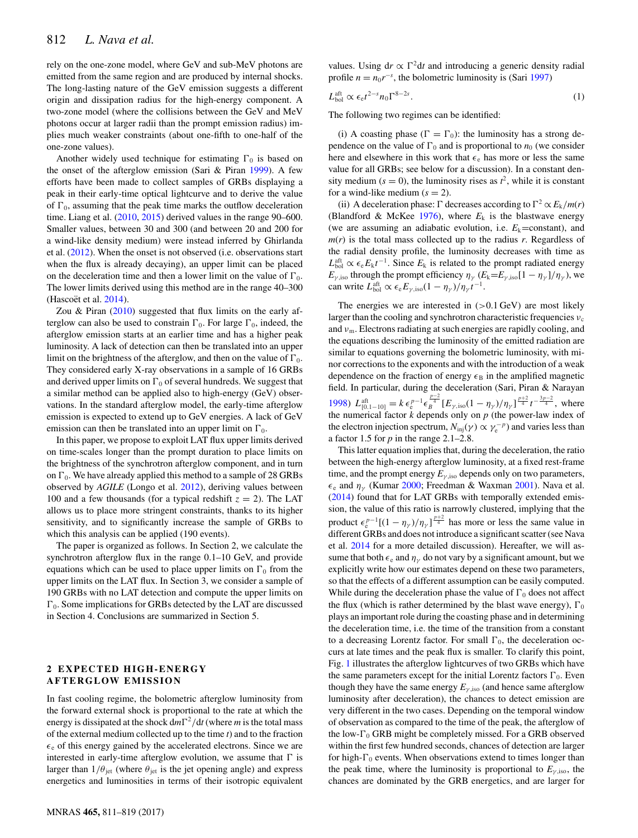rely on the one-zone model, where GeV and sub-MeV photons are emitted from the same region and are produced by internal shocks. The long-lasting nature of the GeV emission suggests a different origin and dissipation radius for the high-energy component. A two-zone model (where the collisions between the GeV and MeV photons occur at larger radii than the prompt emission radius) implies much weaker constraints (about one-fifth to one-half of the one-zone values).

Another widely used technique for estimating  $\Gamma_0$  is based on the onset of the afterglow emission (Sari & Piran [1999\)](#page-8-11). A few efforts have been made to collect samples of GRBs displaying a peak in their early-time optical lightcurve and to derive the value of  $\Gamma_0$ , assuming that the peak time marks the outflow deceleration time. Liang et al. [\(2010,](#page-8-12) [2015\)](#page-8-13) derived values in the range 90–600. Smaller values, between 30 and 300 (and between 20 and 200 for a wind-like density medium) were instead inferred by Ghirlanda et al. [\(2012\)](#page-8-14). When the onset is not observed (i.e. observations start when the flux is already decaying), an upper limit can be placed on the deceleration time and then a lower limit on the value of  $\Gamma_0$ . The lower limits derived using this method are in the range 40–300 (Hascoët et al.  $2014$ ).

Zou & Piran  $(2010)$  suggested that flux limits on the early afterglow can also be used to constrain  $\Gamma_0$ . For large  $\Gamma_0$ , indeed, the afterglow emission starts at an earlier time and has a higher peak luminosity. A lack of detection can then be translated into an upper limit on the brightness of the afterglow, and then on the value of  $\Gamma_0$ . They considered early X-ray observations in a sample of 16 GRBs and derived upper limits on  $\Gamma_0$  of several hundreds. We suggest that a similar method can be applied also to high-energy (GeV) observations. In the standard afterglow model, the early-time afterglow emission is expected to extend up to GeV energies. A lack of GeV emission can then be translated into an upper limit on  $\Gamma_0$ .

In this paper, we propose to exploit LAT flux upper limits derived on time-scales longer than the prompt duration to place limits on the brightness of the synchrotron afterglow component, and in turn on  $\Gamma_0$ . We have already applied this method to a sample of 28 GRBs observed by *AGILE* (Longo et al. [2012\)](#page-8-17), deriving values between 100 and a few thousands (for a typical redshift  $z = 2$ ). The LAT allows us to place more stringent constraints, thanks to its higher sensitivity, and to significantly increase the sample of GRBs to which this analysis can be applied (190 events).

The paper is organized as follows. In Section 2, we calculate the synchrotron afterglow flux in the range 0.1–10 GeV, and provide equations which can be used to place upper limits on  $\Gamma_0$  from the upper limits on the LAT flux. In Section 3, we consider a sample of 190 GRBs with no LAT detection and compute the upper limits on  $\Gamma_0$ . Some implications for GRBs detected by the LAT are discussed in Section 4. Conclusions are summarized in Section 5.

### **2 EXPECTED HIGH-ENERGY AFTERGLOW EMISSION**

In fast cooling regime, the bolometric afterglow luminosity from the forward external shock is proportional to the rate at which the energy is dissipated at the shock  $dm\Gamma^2/dt$  (where *m* is the total mass of the external medium collected up to the time *t*) and to the fraction  $\epsilon_e$  of this energy gained by the accelerated electrons. Since we are interested in early-time afterglow evolution, we assume that  $\Gamma$  is larger than  $1/\theta_{jet}$  (where  $\theta_{jet}$  is the jet opening angle) and express energetics and luminosities in terms of their isotropic equivalent values. Using dr  $\propto \Gamma^2 dt$  and introducing a generic density radial profile  $n = n_0 r^{-s}$ , the bolometric luminosity is (Sari [1997\)](#page-8-18)

$$
L_{\text{bol}}^{\text{aft}} \propto \epsilon_{\text{e}} t^{2-s} n_0 \Gamma^{8-2s}.
$$

The following two regimes can be identified:

(i) A coasting phase ( $\Gamma = \Gamma_0$ ): the luminosity has a strong dependence on the value of  $\Gamma_0$  and is proportional to  $n_0$  (we consider here and elsewhere in this work that  $\epsilon_e$  has more or less the same value for all GRBs; see below for a discussion). In a constant density medium ( $s = 0$ ), the luminosity rises as  $t^2$ , while it is constant for a wind-like medium  $(s = 2)$ .

(ii) A deceleration phase:  $\Gamma$  decreases according to  $\Gamma^2 \propto E_k/m(r)$ (Blandford & McKee [1976\)](#page-8-19), where  $E_k$  is the blastwave energy (we are assuming an adiabatic evolution, i.e.  $E_k$ =constant), and  $m(r)$  is the total mass collected up to the radius *r*. Regardless of the radial density profile, the luminosity decreases with time as  $L_{\text{bol}}^{\text{aft}} \propto \epsilon_{\text{e}} E_{\text{k}} t^{-1}$ . Since  $E_{\text{k}}$  is related to the prompt radiated energy  $E_{\gamma}$ , iso through the prompt efficiency  $\eta_{\gamma}$  ( $E_k = E_{\gamma}$ , iso [1 –  $\eta_{\gamma}$ ]/ $\eta_{\gamma}$ ), we can write  $L_{\text{bol}}^{\text{aft}} \propto \epsilon_{\text{e}} E_{\gamma,\text{iso}} (1 - \eta_{\gamma}) / \eta_{\gamma} t^{-1}$ .

The energies we are interested in  $(>0.1 \text{ GeV})$  are most likely larger than the cooling and synchrotron characteristic frequencies  $v_c$ and  $v<sub>m</sub>$ . Electrons radiating at such energies are rapidly cooling, and the equations describing the luminosity of the emitted radiation are similar to equations governing the bolometric luminosity, with minor corrections to the exponents and with the introduction of a weak dependence on the fraction of energy  $\epsilon_B$  in the amplified magnetic field. In particular, during the deceleration (Sari, Piran & Narayan [1998\)](#page-8-20)  $L_{[0,1-10]}^{\text{aff}} = k \epsilon_{e}^{p-1} \epsilon_{B}^{\frac{p-2}{4}} [E_{\gamma,\text{iso}}(1-\eta_{\gamma})/\eta_{\gamma}]^{\frac{p+2}{4}} t^{-\frac{3p-2}{4}}, \text{ where}$ the numerical factor *k* depends only on *p* (the power-law index of the electron injection spectrum,  $N_{\text{inj}}(\gamma) \propto \gamma_{\text{e}}^{-p}$  and varies less than a factor 1.5 for *p* in the range 2.1–2.8.

This latter equation implies that, during the deceleration, the ratio between the high-energy afterglow luminosity, at a fixed rest-frame time, and the prompt energy  $E_{\gamma,iso}$  depends only on two parameters,  $\epsilon_e$  and  $\eta_v$  (Kumar [2000;](#page-8-21) Freedman & Waxman [2001\)](#page-8-22). Nava et al. [\(2014\)](#page-8-23) found that for LAT GRBs with temporally extended emission, the value of this ratio is narrowly clustered, implying that the product  $\epsilon_e^{p-1}[(1 - \eta_{\gamma})/\eta_{\gamma}]^{\frac{p+2}{4}}$  has more or less the same value in different GRBs and does not introduce a significant scatter (see Nava et al. [2014](#page-8-23) for a more detailed discussion). Hereafter, we will assume that both  $\epsilon_e$  and  $\eta_{\gamma}$  do not vary by a significant amount, but we explicitly write how our estimates depend on these two parameters, so that the effects of a different assumption can be easily computed. While during the deceleration phase the value of  $\Gamma_0$  does not affect the flux (which is rather determined by the blast wave energy),  $\Gamma_0$ plays an important role during the coasting phase and in determining the deceleration time, i.e. the time of the transition from a constant to a decreasing Lorentz factor. For small  $\Gamma_0$ , the deceleration occurs at late times and the peak flux is smaller. To clarify this point, Fig. [1](#page-2-0) illustrates the afterglow lightcurves of two GRBs which have the same parameters except for the initial Lorentz factors  $\Gamma_0$ . Even though they have the same energy  $E_{\gamma,iso}$  (and hence same afterglow luminosity after deceleration), the chances to detect emission are very different in the two cases. Depending on the temporal window of observation as compared to the time of the peak, the afterglow of the low- $\Gamma_0$  GRB might be completely missed. For a GRB observed within the first few hundred seconds, chances of detection are larger for high- $\Gamma_0$  events. When observations extend to times longer than the peak time, where the luminosity is proportional to  $E_{\nu,iso}$ , the chances are dominated by the GRB energetics, and are larger for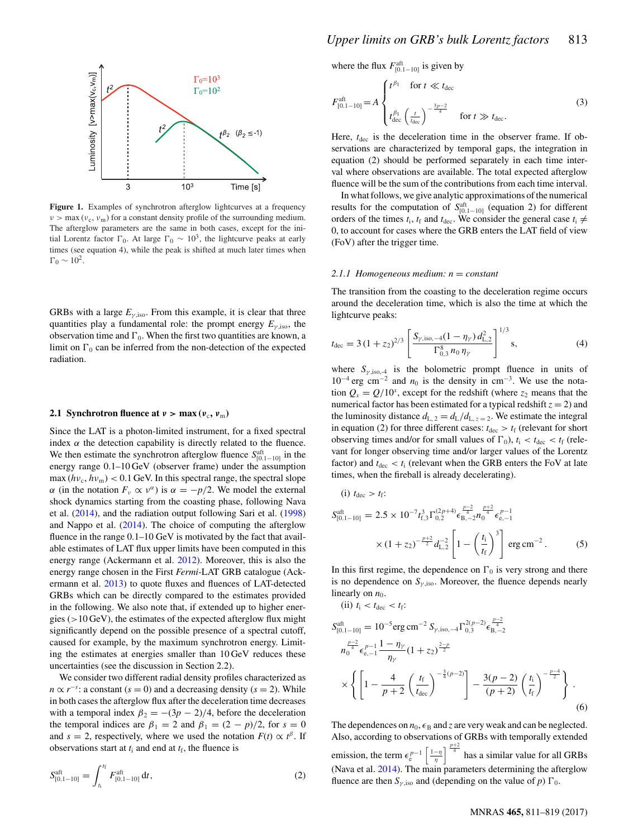<span id="page-2-0"></span>

**Figure 1.** Examples of synchrotron afterglow lightcurves at a frequency  $v > \max(v_c, v_m)$  for a constant density profile of the surrounding medium. The afterglow parameters are the same in both cases, except for the initial Lorentz factor  $\Gamma_0$ . At large  $\Gamma_0 \sim 10^3$ , the lightcurve peaks at early times (see equation 4), while the peak is shifted at much later times when  $\Gamma_0 \sim 10^2$ .

GRBs with a large  $E_{\gamma,iso}$ . From this example, it is clear that three quantities play a fundamental role: the prompt energy  $E_{\gamma,iso}$ , the observation time and  $\Gamma_0$ . When the first two quantities are known, a limit on  $\Gamma_0$  can be inferred from the non-detection of the expected radiation.

### **2.1 Synchrotron fluence at**  $v > max(v_c, v_m)$

Since the LAT is a photon-limited instrument, for a fixed spectral index  $\alpha$  the detection capability is directly related to the fluence. We then estimate the synchrotron afterglow fluence  $S_{[0,1-10]}^{\text{aff}}$  in the energy range 0.1–10 GeV (observer frame) under the assumption  $\max(hv_c, hv_m) < 0.1$  GeV. In this spectral range, the spectral slope  $α$  (in the notation  $F<sub>ν</sub>$  α ν<sup>α</sup>) is  $α = -p/2$ . We model the external shock dynamics starting from the coasting phase, following Nava et al. [\(2014\)](#page-8-23), and the radiation output following Sari et al. [\(1998\)](#page-8-20) and Nappo et al. [\(2014\)](#page-8-24). The choice of computing the afterglow fluence in the range 0.1–10 GeV is motivated by the fact that available estimates of LAT flux upper limits have been computed in this energy range (Ackermann et al. [2012\)](#page-8-25). Moreover, this is also the energy range chosen in the First *Fermi*-LAT GRB catalogue (Ackermann et al. [2013\)](#page-8-26) to quote fluxes and fluences of LAT-detected GRBs which can be directly compared to the estimates provided in the following. We also note that, if extended up to higher energies ( $>10$  GeV), the estimates of the expected afterglow flux might significantly depend on the possible presence of a spectral cutoff, caused for example, by the maximum synchrotron energy. Limiting the estimates at energies smaller than 10 GeV reduces these uncertainties (see the discussion in Section 2.2).

We consider two different radial density profiles characterized as  $n \propto r^{-s}$ : a constant ( $s = 0$ ) and a decreasing density ( $s = 2$ ). While in both cases the afterglow flux after the deceleration time decreases with a temporal index  $\beta_2 = -(3p - 2)/4$ , before the deceleration the temporal indices are  $\beta_1 = 2$  and  $\beta_1 = (2 - p)/2$ , for  $s = 0$ and *s* = 2, respectively, where we used the notation  $F(t) \propto t^{\beta}$ . If observations start at  $t_i$  and end at  $t_f$ , the fluence is

$$
S_{[0.1-10]}^{\text{aff}} = \int_{t_i}^{t_f} F_{[0.1-10]}^{\text{aff}} dt, \qquad (2)
$$

where the flux  $F_{[0.1-10]}^{\text{aff}}$  is given by

$$
F_{[0.1-10]}^{\text{aff}} = A \begin{cases} t^{\beta_1} & \text{for } t \ll t_{\text{dec}} \\ t_{\text{dec}}^{\beta_1} \left(\frac{t}{t_{\text{dec}}}\right)^{-\frac{3p-2}{4}} & \text{for } t \gg t_{\text{dec}}. \end{cases} \tag{3}
$$

Here,  $t_{\text{dec}}$  is the deceleration time in the observer frame. If observations are characterized by temporal gaps, the integration in equation (2) should be performed separately in each time interval where observations are available. The total expected afterglow fluence will be the sum of the contributions from each time interval.

In what follows, we give analytic approximations of the numerical results for the computation of  $S_{[0,1-10]}^{\text{aff}}$  (equation 2) for different orders of the times  $t_i$ ,  $t_f$  and  $t_{\text{dec}}$ . We consider the general case  $t_i \neq$ 0, to account for cases where the GRB enters the LAT field of view (FoV) after the trigger time.

### *2.1.1 Homogeneous medium: n* = *constant*

The transition from the coasting to the deceleration regime occurs around the deceleration time, which is also the time at which the lightcurve peaks:

$$
t_{\rm dec} = 3\left(1 + z_2\right)^{2/3} \left[ \frac{S_{\gamma,\rm iso,-4}(1 - \eta_{\gamma}) d_{\rm L,2}^2}{\Gamma_{0,3}^8 n_0 \eta_{\gamma}} \right]^{1/3} \text{s},\tag{4}
$$

where  $S_{\gamma, \text{iso}, -4}$  is the bolometric prompt fluence in units of  $10^{-4}$  erg cm<sup>-2</sup> and  $n_0$  is the density in cm<sup>-3</sup>. We use the notation  $Q_x = Q/10^x$ , except for the redshift (where  $z_2$  means that the numerical factor has been estimated for a typical redshift  $z = 2$ ) and the luminosity distance  $d_{L, 2} = d_L/d_{L, z=2}$ . We estimate the integral in equation (2) for three different cases:  $t_{\text{dec}} > t_f$  (relevant for short observing times and/or for small values of  $\Gamma_0$ ),  $t_i < t_{\text{dec}} < t_f$  (relevant for longer observing time and/or larger values of the Lorentz factor) and  $t_{\text{dec}} < t_i$  (relevant when the GRB enters the FoV at late times, when the fireball is already decelerating).

(i) 
$$
t_{\text{dec}} > t_{\text{f}}
$$
:  
\n
$$
S_{[0.1-10]}^{\text{aft}} = 2.5 \times 10^{-7} t_{\text{f},3}^{3} \Gamma_{0,2}^{(2p+4)} \epsilon_{\text{B},-2}^{\frac{p-2}{4}} n_{\text{g}}^{\frac{p+2}{4}} \epsilon_{\text{e},-1}^{p-1}
$$
\n
$$
\times (1 + z_{2})^{-\frac{p+2}{2}} d_{\text{L},2}^{-2} \left[ 1 - \left(\frac{t_{\text{i}}}{t_{\text{f}}}\right)^{3} \right] \text{erg cm}^{-2}. \tag{5}
$$

In this first regime, the dependence on  $\Gamma_0$  is very strong and there is no dependence on  $S_{\gamma,iso}$ . Moreover, the fluence depends nearly linearly on  $n_0$ .

(ii)  $t_i < t_{\text{dec}} < t_f$ :

$$
S_{[0,1-10]}^{\text{aff}} = 10^{-5} \text{erg cm}^{-2} S_{\gamma,\text{iso},-4} \Gamma_{0,3}^{2(p-2)} \epsilon_{\text{B},-2}^{\frac{p-2}{4}}
$$
  
\n
$$
n_0^{\frac{p-2}{4}} \epsilon_{\text{e},-1}^{p-1} \frac{1 - \eta_{\gamma}}{\eta_{\gamma}} (1 + z_2)^{\frac{2-p}{2}}
$$
  
\n
$$
\times \left\{ \left[ 1 - \frac{4}{p+2} \left( \frac{t_{\text{f}}}{t_{\text{dec}}} \right)^{-\frac{3}{4}(p-2)} \right] - \frac{3(p-2)}{(p+2)} \left( \frac{t_{\text{i}}}{t_{\text{f}}} \right)^{-\frac{p-4}{2}} \right\} .
$$
  
\n(6)

The dependences on  $n_0$ ,  $\epsilon_B$  and *z* are very weak and can be neglected. Also, according to observations of GRBs with temporally extended emission, the term  $\epsilon_e^{p-1} \left[ \frac{1-\eta}{\eta} \right]_+^{\frac{p+2}{4}}$  has a similar value for all GRBs (Nava et al. [2014\)](#page-8-23). The main parameters determining the afterglow fluence are then  $S_{\gamma,iso}$  and (depending on the value of *p*)  $\Gamma_0$ .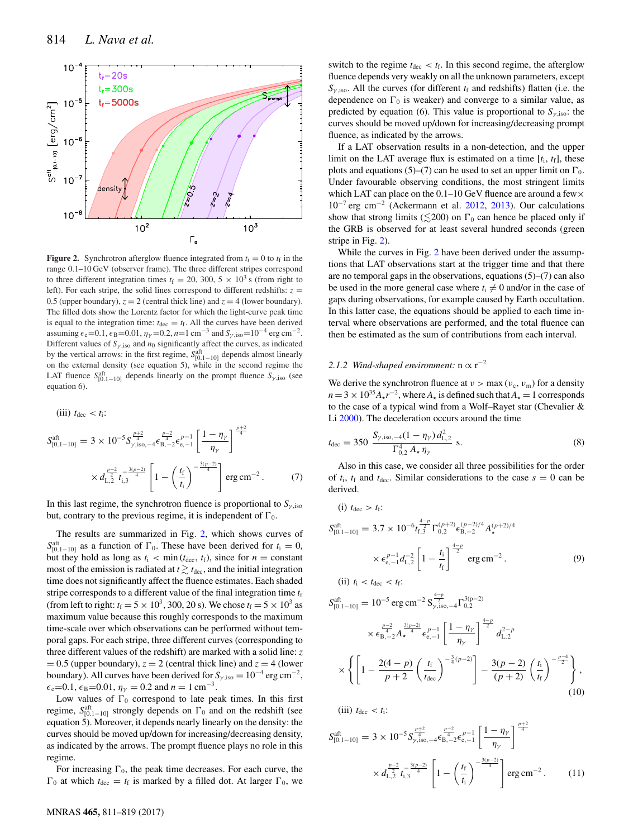<span id="page-3-0"></span>

**Figure 2.** Synchrotron afterglow fluence integrated from  $t_i = 0$  to  $t_f$  in the range 0.1–10 GeV (observer frame). The three different stripes correspond to three different integration times  $t_f = 20$ , 300, 5  $\times$  10<sup>3</sup> s (from right to left). For each stripe, the solid lines correspond to different redshifts:  $z =$ 0.5 (upper boundary),  $z = 2$  (central thick line) and  $z = 4$  (lower boundary). The filled dots show the Lorentz factor for which the light-curve peak time is equal to the integration time:  $t_{\text{dec}} = t_f$ . All the curves have been derived assuming  $\epsilon_e$ =0.1,  $\epsilon_B$ =0.01,  $\eta_\gamma$  =0.2, *n*=1 cm<sup>-3</sup> and  $S_{\gamma,iso}$ =10<sup>-4</sup> erg cm<sup>-2</sup>. Different values of  $S_{\gamma,iso}$  and  $n_0$  significantly affect the curves, as indicated by the vertical arrows: in the first regime,  $S_{[0,1-10]}^{at}$  depends almost linearly on the external density (see equation 5), while in the second regime the LAT fluence  $S_{[0,1-10]}^{aft}$  depends linearly on the prompt fluence  $S_{\gamma,\text{iso}}$  (see equation 6).

(iii) 
$$
t_{\text{dec}} < t_i
$$
:  
\n
$$
S_{[0.1-10]}^{\text{aft}} = 3 \times 10^{-5} S_{\gamma,\text{iso},-4}^{\frac{p+2}{4}} \epsilon_{\text{B},-2}^{\frac{p-2}{4}} \epsilon_{\text{e},-1}^{p-1} \left[ \frac{1 - \eta_{\gamma}}{\eta_{\gamma}} \right]^{\frac{p+2}{4}}
$$
\n
$$
\times d_{\text{L},2}^{\frac{p-2}{2}} t_{\text{i},3}^{\frac{3(p-2)}{4}} \left[ 1 - \left( \frac{t_{\text{f}}}{t_{\text{i}}} \right)^{-\frac{3(p-2)}{4}} \right] \text{erg cm}^{-2}. \tag{7}
$$

In this last regime, the synchrotron fluence is proportional to  $S_{\gamma,iso}$ but, contrary to the previous regime, it is independent of  $\Gamma_0$ .

The results are summarized in Fig. [2,](#page-3-0) which shows curves of  $S_{10.1-10}^{\text{aff}}$  as a function of  $\Gamma_0$ . These have been derived for  $t_i = 0$ , but they hold as long as  $t_i < \min(t_{\text{dec}}, t_f)$ , since for  $n = \text{constant}$ most of the emission is radiated at  $t \gtrsim t_{\text{dec}}$ , and the initial integration time does not significantly affect the fluence estimates. Each shaded stripe corresponds to a different value of the final integration time  $t_f$ (from left to right:  $t_f = 5 \times 10^3$ , 300, 20 s). We chose  $t_f = 5 \times 10^3$  as maximum value because this roughly corresponds to the maximum time-scale over which observations can be performed without temporal gaps. For each stripe, three different curves (corresponding to three different values of the redshift) are marked with a solid line: *z*  $= 0.5$  (upper boundary),  $z = 2$  (central thick line) and  $z = 4$  (lower boundary). All curves have been derived for  $S_{\gamma,iso} = 10^{-4}$  erg cm<sup>-2</sup>,  $\epsilon_e$ =0.1,  $\epsilon_B$ =0.01,  $\eta_\gamma$  = 0.2 and  $n = 1$  cm<sup>-3</sup>.

Low values of  $\Gamma_0$  correspond to late peak times. In this first regime,  $S_{[0,1-10]}^{\text{aff}}$  strongly depends on  $\Gamma_0$  and on the redshift (see equation 5). Moreover, it depends nearly linearly on the density: the curves should be moved up/down for increasing/decreasing density, as indicated by the arrows. The prompt fluence plays no role in this regime.

For increasing  $\Gamma_0$ , the peak time decreases. For each curve, the  $\Gamma_0$  at which  $t_{\text{dec}} = t_f$  is marked by a filled dot. At larger  $\Gamma_0$ , we

switch to the regime  $t_{\text{dec}} < t_f$ . In this second regime, the afterglow fluence depends very weakly on all the unknown parameters, except  $S_{\nu,iso}$ . All the curves (for different  $t_f$  and redshifts) flatten (i.e. the dependence on  $\Gamma_0$  is weaker) and converge to a similar value, as predicted by equation (6). This value is proportional to  $S_{\gamma,iso}$ : the curves should be moved up/down for increasing/decreasing prompt fluence, as indicated by the arrows.

If a LAT observation results in a non-detection, and the upper limit on the LAT average flux is estimated on a time  $[t_i, t_f]$ , these plots and equations (5)–(7) can be used to set an upper limit on  $\Gamma_0$ . Under favourable observing conditions, the most stringent limits which LAT can place on the  $0.1-10$  GeV fluence are around a few  $\times$ 10−<sup>7</sup> erg cm−<sup>2</sup> (Ackermann et al. [2012,](#page-8-25) [2013\)](#page-8-26). Our calculations show that strong limits ( $\leq$ 200) on  $\Gamma_0$  can hence be placed only if the GRB is observed for at least several hundred seconds (green stripe in Fig. [2\)](#page-3-0).

While the curves in Fig. [2](#page-3-0) have been derived under the assumptions that LAT observations start at the trigger time and that there are no temporal gaps in the observations, equations (5)–(7) can also be used in the more general case where  $t_i \neq 0$  and/or in the case of gaps during observations, for example caused by Earth occultation. In this latter case, the equations should be applied to each time interval where observations are performed, and the total fluence can then be estimated as the sum of contributions from each interval.

# 2.1.2 Wind-shaped environment:  $n \propto r^{-2}$

We derive the synchrotron fluence at  $v > \max(v_c, v_m)$  for a density  $n = 3 \times 10^{35} A_{\star} r^{-2}$ , where  $A_{\star}$  is defined such that  $A_{\star} = 1$  corresponds to the case of a typical wind from a Wolf–Rayet star (Chevalier & Li [2000\)](#page-8-27). The deceleration occurs around the time

$$
t_{\rm dec} = 350 \frac{S_{\gamma,\text{iso},-4}(1 - \eta_{\gamma}) d_{\text{L},2}^2}{\Gamma_{0,2}^4 A_{\star} \eta_{\gamma}} \text{ s.}
$$
 (8)

Also in this case, we consider all three possibilities for the order of  $t_i$ ,  $t_f$  and  $t_{dec}$ . Similar considerations to the case  $s = 0$  can be derived.

(i) 
$$
t_{\text{dec}} > t_f
$$
:  
\n
$$
S_{[0,1-10]}^{\text{aff}} = 3.7 \times 10^{-6} t_{f,3}^{\frac{4-p}{2}} \Gamma_{0,2}^{(p+2)} \epsilon_{\text{B},-2}^{(p-2)/4} A_{\star}^{(p+2)/4}
$$
\n
$$
\times \epsilon_{\text{e},-1}^{p-1} d_{\text{L},2}^{-2} \left[ 1 - \frac{t_i}{t_f} \right]^{\frac{4-p}{2}} \text{erg cm}^{-2}.
$$
\n(iii)  $t_i < t_{\text{dec}} < t_f$ : (9)

$$
S_{[0.1-10]}^{\text{aff}} = 10^{-5} \text{ erg cm}^{-2} S_{\gamma, \text{iso}, -4}^{\frac{4-p}{2}} \Gamma_{0,2}^{3(p-2)}
$$
  

$$
\times \epsilon_{\text{B}, -2}^{\frac{p-2}{4}} A_{\star}^{\frac{3(p-2)}{4}} \epsilon_{\text{e}, -1}^{p-1} \left[ \frac{1 - \eta_{\gamma}}{\eta_{\gamma}} \right]^{\frac{4-p}{2}} d_{\text{L}, 2}^{2-p}
$$
  

$$
\times \left\{ \left[ 1 - \frac{2(4-p)}{p+2} \left( \frac{t_{\text{f}}}{t_{\text{dec}}} \right)^{-\frac{3}{4}(p-2)} \right] - \frac{3(p-2)}{(p+2)} \left( \frac{t_{\text{i}}}{t_{\text{f}}} \right)^{-\frac{p-4}{2}} \right\},
$$
(10)

(iii)  $t_{\text{dec}} < t_i$ :

$$
S_{[0.1-10]}^{\text{aft}} = 3 \times 10^{-5} S_{\gamma,\text{iso},-4}^{\frac{p+2}{4}} \epsilon_{\text{B},-2}^{\frac{p-2}{4}} \epsilon_{\text{e},-1}^{p-1} \left[ \frac{1 - \eta_{\gamma}}{\eta_{\gamma}} \right]^{\frac{p+2}{4}}
$$

$$
\times d_{\text{L},2}^{\frac{p-2}{2}} t_{\text{i},3}^{\frac{3(p-2)}{4}} \left[ 1 - \left( \frac{t_{\text{f}}}{t_{\text{i}}} \right)^{-\frac{3(p-2)}{4}} \right] \text{erg cm}^{-2}. \tag{11}
$$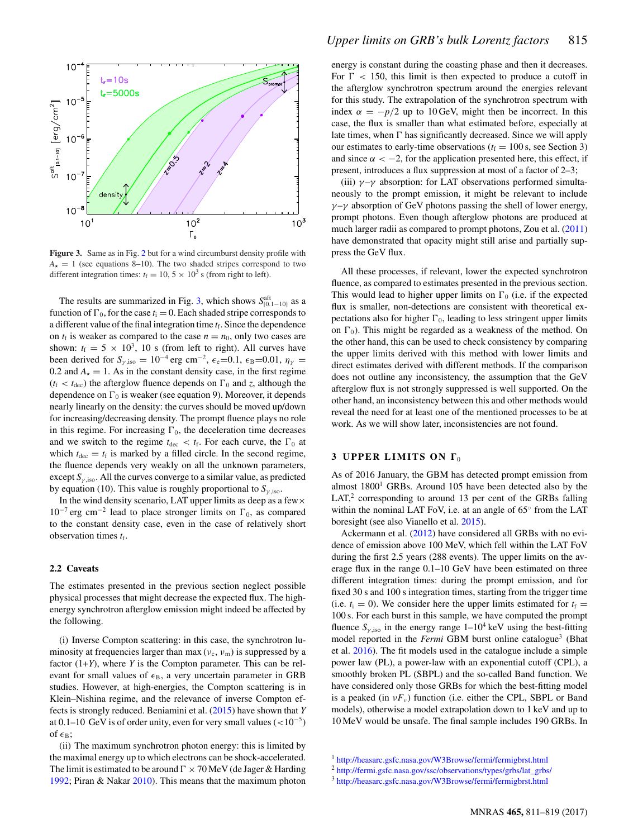<span id="page-4-0"></span>

**Figure 3.** Same as in Fig. [2](#page-3-0) but for a wind circumburst density profile with  $A_{\star} = 1$  (see equations 8–10). The two shaded stripes correspond to two different integration times:  $t_f = 10, 5 \times 10^3$  s (from right to left).

The results are summarized in Fig. [3,](#page-4-0) which shows  $S_{[0.1-10]}^{\text{aff}}$  as a function of  $\Gamma_0$ , for the case  $t_i = 0$ . Each shaded stripe corresponds to a different value of the final integration time  $t_f$ . Since the dependence on  $t_f$  is weaker as compared to the case  $n = n_0$ , only two cases are shown:  $t_f = 5 \times 10^3$ , 10 s (from left to right). All curves have been derived for  $S_{\gamma,iso} = 10^{-4}$  erg cm<sup>-2</sup>,  $\epsilon_e$ =0.1,  $\epsilon_B$ =0.01,  $\eta_{\gamma}$  = 0.2 and  $A_{\star} = 1$ . As in the constant density case, in the first regime  $(t_f < t_{\text{dec}})$  the afterglow fluence depends on  $\Gamma_0$  and *z*, although the dependence on  $\Gamma_0$  is weaker (see equation 9). Moreover, it depends nearly linearly on the density: the curves should be moved up/down for increasing/decreasing density. The prompt fluence plays no role in this regime. For increasing  $\Gamma_0$ , the deceleration time decreases and we switch to the regime  $t_{\text{dec}} < t_{\text{f}}$ . For each curve, the  $\Gamma_0$  at which  $t_{\text{dec}} = t_f$  is marked by a filled circle. In the second regime, the fluence depends very weakly on all the unknown parameters, except  $S_{\gamma,iso}$ . All the curves converge to a similar value, as predicted by equation (10). This value is roughly proportional to  $S_{\nu,iso}$ .

In the wind density scenario, LAT upper limits as deep as a few  $\times$  $10^{-7}$  erg cm<sup>-2</sup> lead to place stronger limits on  $\Gamma_0$ , as compared to the constant density case, even in the case of relatively short observation times  $t_f$ .

## **2.2 Caveats**

The estimates presented in the previous section neglect possible physical processes that might decrease the expected flux. The highenergy synchrotron afterglow emission might indeed be affected by the following.

(i) Inverse Compton scattering: in this case, the synchrotron luminosity at frequencies larger than max  $(v_c, v_m)$  is suppressed by a factor (1+*Y*), where *Y* is the Compton parameter. This can be relevant for small values of  $\epsilon_B$ , a very uncertain parameter in GRB studies. However, at high-energies, the Compton scattering is in Klein–Nishina regime, and the relevance of inverse Compton effects is strongly reduced. Beniamini et al. [\(2015\)](#page-8-28) have shown that *Y* at 0.1–10 GeV is of order unity, even for very small values ( $\langle$ -10<sup>-5</sup>) of  $\epsilon_B$ ;

(ii) The maximum synchrotron photon energy: this is limited by the maximal energy up to which electrons can be shock-accelerated. The limit is estimated to be around  $\Gamma \times 70$  MeV (de Jager & Harding [1992;](#page-8-29) Piran & Nakar [2010\)](#page-8-30). This mean[s](#page-5-0) that the maximum photon energy is constant during the coasting phase and then it decreases. For  $\Gamma$  < 150, this limit is then expected to produce a cutoff in the afterglow synchrotron spectrum around the energies relevant for this study. The extrapolation of the synchrotron spectrum with index  $\alpha = -p/2$  up to 10 GeV, might then be incorrect. In this case, the flux is smaller than what estimated before, especially at late times, when  $\Gamma$  has significantly decreased. Since we will apply our estimates to early-time observations  $(t_f = 100 \text{ s}, \text{ see Section 3})$ and since  $\alpha < -2$ , for the application presented here, this effect, if present, introduces a flux suppression at most of a factor of 2–3;

(iii)  $\gamma - \gamma$  absorption: for LAT observations performed simultaneously to the prompt emission, it might be relevant to include  $\gamma$  –γ absorption of GeV photons passing the shell of lower energy, prompt photons. Even though afterglow photons are produced at much larger radii as compared to prompt photons, Zou et al. [\(2011\)](#page-8-10) have demonstrated that opacity might still arise and partially suppress the GeV flux.

All these processes, if relevant, lower the expected synchrotron fluence, as compared to estimates presented in the previous section. This would lead to higher upper limits on  $\Gamma_0$  (i.e. if the expected flux is smaller, non-detections are consistent with theoretical expectations also for higher  $\Gamma_0$ , leading to less stringent upper limits on  $\Gamma_0$ ). This might be regarded as a weakness of the method. On the other hand, this can be used to check consistency by comparing the upper limits derived with this method with lower limits and direct estimates derived with different methods. If the comparison does not outline any inconsistency, the assumption that the GeV afterglow flux is not strongly suppressed is well supported. On the other hand, an inconsistency between this and other methods would reveal the need for at least one of the mentioned processes to be at work. As we will show later, inconsistencies are not found.

### **3 UPPER LIMITS ON**  $\Gamma_0$

As of 2016 January, the GBM has detected prompt emission from almost 1800<sup>1</sup> GRBs. Around 105 have been detected also by the  $LAT<sub>1</sub><sup>2</sup> corresponding to around 13 per cent of the GRBs falling$ within the nominal LAT FoV, i.e. at an angle of 65◦ from the LAT boresight (see also Vianello et al. [2015\)](#page-8-31).

Ackermann et al. [\(2012\)](#page-8-25) have considered all GRBs with no evidence of emission above 100 MeV, which fell within the LAT FoV during the first 2.5 years (288 events). The upper limits on the average flux in the range 0.1–10 GeV have been estimated on three different integration times: during the prompt emission, and for fixed 30 s and 100 s integration times, starting from the trigger time (i.e.  $t_i = 0$ ). We consider here the upper limits estimated for  $t_f =$ 100 s. For each burst in this sample, we have computed the prompt fluence  $S_{\gamma,iso}$  in the energy range  $1-10^4$  keV using the best-fitting model reported in the *Fermi* GBM burst online catalogue<sup>3</sup> (Bhat et al. [2016\)](#page-8-32). The fit models used in the catalogue include a simple power law (PL), a power-law with an exponential cutoff (CPL), a smoothly broken PL (SBPL) and the so-called Band function. We have considered only those GRBs for which the best-fitting model is a peaked (in  $vF_v$ ) function (i.e. either the CPL, SBPL or Band models), otherwise a model extrapolation down to 1 keV and up to 10 MeV would be unsafe. The final sample includes 190 GRBs. In

<sup>1</sup> <http://heasarc.gsfc.nasa.gov/W3Browse/fermi/fermigbrst.html>

<sup>2</sup> [http://fermi.gsfc.nasa.gov/ssc/observations/types/grbs/lat\\_grbs/](http://fermi.gsfc.nasa.gov/ssc/observations/types/grbs/lat_grbs/)

<sup>3</sup> <http://heasarc.gsfc.nasa.gov/W3Browse/fermi/fermigbrst.html>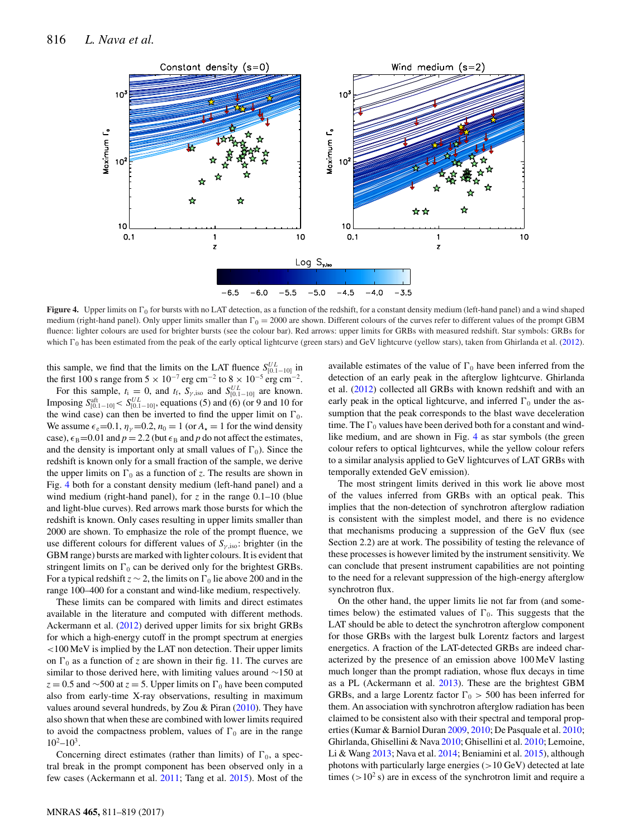<span id="page-5-0"></span>

**Figure 4.** Upper limits on  $\Gamma_0$  for bursts with no LAT detection, as a function of the redshift, for a constant density medium (left-hand panel) and a wind shaped medium (right-hand panel). Only upper limits smaller than  $\Gamma_0 = 2000$  are shown. Different colours of the curves refer to different values of the prompt GBM fluence: lighter colours are used for brighter bursts (see the colour bar). Red arrows: upper limits for GRBs with measured redshift. Star symbols: GRBs for which  $\Gamma_0$  has been estimated from the peak of the early optical lightcurve (green stars) and GeV lightcurve (yellow stars), taken from Ghirlanda et al. [\(2012\)](#page-8-14).

this sample, we find that the limits on the LAT fluence  $S_{[0,1-10]}^{UL}$  in the first 100 s range from  $5 \times 10^{-7}$  erg cm<sup>-2</sup> to  $8 \times 10^{-5}$  erg cm<sup>-2</sup>.

For this sample,  $t_i = 0$ , and  $t_f$ ,  $S_{\gamma,iso}$  and  $S_{[0.1-10]}^{UL}$  are known.<br>Imposing  $S_{[0.1-10]}^{att} < S_{[0.1-10]}^{UL}$ , equations (5) and (6) (or 9 and 10 for the wind case) can then be inverted to find the upper limit on  $\Gamma_0$ . We assume  $\epsilon_e$  =0.1,  $\eta_v$  =0.2,  $n_0$  = 1 (or  $A_\star$  = 1 for the wind density case),  $\epsilon_B$ =0.01 and *p* = 2.2 (but  $\epsilon_B$  and *p* do not affect the estimates, and the density is important only at small values of  $\Gamma_0$ ). Since the redshift is known only for a small fraction of the sample, we derive the upper limits on  $\Gamma_0$  as a function of *z*. The results are shown in Fig. [4](#page-5-0) bot[h](#page-6-0) for a constant density medium (left-hand panel) and a wind medium (right-hand panel), for  $\zeta$  in the range 0.1–10 (blue and light-blue curves). Red arrows mark those bursts for which the redshift is known. Only cases resulting in upper limits smaller than 2000 are shown. To emphasize the role of the prompt fluence, we use different colours for different values of  $S_{\nu,iso}$ : brighter (in the GBM range) bursts are marked with lighter colours. It is evident that stringent limits on  $\Gamma_0$  can be derived only for the brightest GRBs. For a typical redshift  $z \sim 2$ , the limits on  $\Gamma_0$  lie above 200 and in the range 100–400 for a constant and wind-like medium, respectively.

These limits can be compared with limits and direct estimates available in the literature and computed with different methods. Ackermann et al. [\(2012\)](#page-8-25) derived upper limits for six bright GRBs for which a high-energy cutoff in the prompt spectrum at energies <100 MeV is implied by the LAT non detection. Their upper limits on  $\Gamma_0$  as a function of *z* are shown in their fig. 11. The curves are similar to those derived here, with limiting values around ∼150 at  $z = 0.5$  and ~500 at  $z = 5$ . Upper limits on  $\Gamma_0$  have been computed also from early-time X-ray observations, resulting in maximum values around several hundreds, by Zou & Piran [\(2010\)](#page-8-16). They have also shown that when these are combined with lower limits required to avoid the compactness problem, values of  $\Gamma_0$  are in the range  $10^2 - 10^3$ .

Concerning direct estimates (rather than limits) of  $\Gamma_0$ , a spectral break in the prompt component has been observed only in a few cases (Ackermann et al. [2011;](#page-8-33) Tang et al. [2015\)](#page-8-34). Most of the

available estimates of the value of  $\Gamma_0$  have been inferred from the detection of an early peak in the afterglow lightcurve. Ghirlanda et al. [\(2012\)](#page-8-14) collected all GRBs with known redshift and with an early peak in the optical lightcurve, and inferred  $\Gamma_0$  under the assumption that the peak corresponds to the blast wave deceleration time. The  $\Gamma_0$  values have been derived both for a constant and windlike medium, and are shown in Fig. [4](#page-5-0) as star symbols (the green colour refers to optical lightcurves, while the yellow colour refers to a similar analysis applied to GeV lightcurves of LAT GRBs with temporally extended GeV emission).

The most stringent limits derived in this work lie above most of the values inferred from GRBs with an optical peak. This implies that the non-detection of synchrotron afterglow radiation is consistent with the simplest model, and there is no evidence that mechanisms producing a suppression of the GeV flux (see Section 2.2) are at work. The possibility of testing the relevance of these processes is however limited by the instrument sensitivity. We can conclude that present instrument capabilities are not pointing to the need for a relevant suppression of the high-energy afterglow synchrotron flux.

On the other hand, the upper limits lie not far from (and sometimes below) the estimated values of  $\Gamma_0$ . This suggests that the LAT should be able to detect the synchrotron afterglow component for those GRBs with the largest bulk Lorentz factors and largest energetics. A fraction of the LAT-detected GRBs are indeed characterized by the presence of an emission above 100 MeV lasting much longer than the prompt radiation, whose flux decays in time as a PL (Ackermann et al. [2013\)](#page-8-26). These are the brightest GBM GRBs, and a large Lorentz factor  $\Gamma_0 > 500$  has been inferred for them. An association with synchrotron afterglow radiation has been claimed to be consistent also with their spectral and temporal properties (Kumar & Barniol Duran [2009,](#page-8-35) [2010;](#page-8-36) De Pasquale et al. [2010;](#page-8-37) Ghirlanda, Ghisellini & Nava [2010;](#page-8-38) Ghisellini et al. [2010;](#page-8-39) Lemoine, Li & Wang [2013;](#page-8-40) Nava et al. [2014;](#page-8-23) Beniamini et al. [2015\)](#page-8-28), although photons with particularly large energies  $(>10 \text{ GeV})$  detected at late times ( $>10^2$  s) are in excess of the synchrotron limit and require a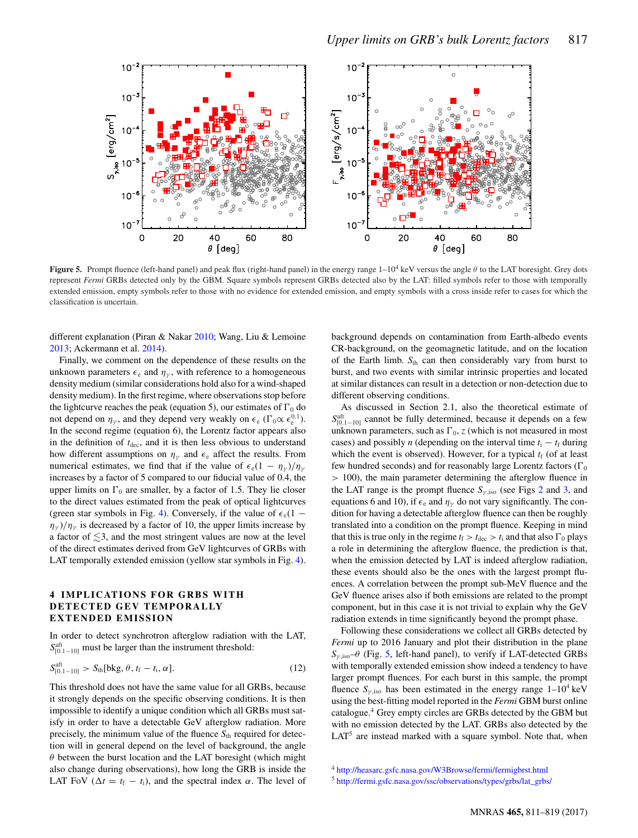<span id="page-6-0"></span>

**Figure 5.** Prompt fluence (left-hand panel) and peak flux (right-hand panel) in the energy range 1–104 keV versus the angle θ to the LAT boresight. Grey dots represent *Fermi* GRBs detected only by the GBM. Square symbols represent GRBs detected also by the LAT: filled symbols refer to those with temporally extended emission, empty symbols refer to those with no evidence for extended emission, and empty symbols with a cross inside refer to cases for which the classification is uncertain.

different explanation (Piran & Nakar [2010;](#page-8-30) Wang, Liu & Lemoine [2013;](#page-8-41) Ackermann et al. [2014\)](#page-8-42).

Finally, we comment on the dependence of these results on the unknown parameters  $\epsilon_e$  and  $\eta_{\gamma}$ , with reference to a homogeneous density medium (similar considerations hold also for a wind-shaped density medium). In the first regime, where observations stop before the lightcurve reaches the peak (equation 5), our estimates of  $\Gamma_0$  do not depend on  $\eta_{\gamma}$ , and they depend very weakly on  $\epsilon_{e}$  ( $\Gamma_{0} \propto \epsilon_{e}^{0.1}$ ). In the second regime (equation 6), the Lorentz factor appears also in the definition of  $t_{\text{dec}}$ , and it is then less obvious to understand how different assumptions on  $\eta_{\gamma}$  and  $\epsilon_{e}$  affect the results. From numerical estimates, we find that if the value of  $\epsilon_e(1 - \eta_{\gamma})/\eta_{\gamma}$ increases by a factor of 5 compared to our fiducial value of 0.4, the upper limits on  $\Gamma_0$  are smaller, by a factor of 1.5. They lie closer to the direct values estimated from the peak of optical lightcurves (green star symbols in Fig. [4\)](#page-5-0). Conversely, if the value of  $\epsilon_e(1 \eta_{\gamma}$ )/ $\eta_{\gamma}$  is decreased by a factor of 10, the upper limits increase by a factor of  $\lesssim$ 3, and the most stringent values are now at the level of the direct estimates derived from GeV lightcurves of GRBs with LAT temporally extended emission (yellow star symbols in Fig. [4\)](#page-5-0).

### **4 IMPLICATIONS FOR GRBS WITH DETECTED GEV TEMPORALLY EXTENDED EMISSION**

In order to detect synchrotron afterglow radiation with the LAT,  $S_{[0.1-10]}^{aft}$  must be larger than the instrument threshold:

$$
S_{[0.1-10]}^{\text{aft}} > S_{\text{th}}[\text{bkg}, \theta, t_{\text{f}} - t_{\text{i}}, \alpha].
$$
 (12)

This threshold does not have the same value for all GRBs, because it strongly depends on the specific observing conditions. It is then impossible to identify a unique condition which all GRBs must satisfy in order to have a detectable GeV afterglow radiation. More precisely, the minimum value of the fluence  $S_{th}$  required for detection will in general depend on the level of background, the angle  $\theta$  between the burst location and the LAT boresight (which might also change during observations), how long the GRB is inside the LAT FoV ( $\Delta t = t_f - t_i$ ), and the spectral index  $\alpha$ . The level of background depends on contamination from Earth-albedo events CR-background, on the geomagnetic latitude, and on the location of the Earth limb.  $S_{th}$  can then considerably vary from burst to burst, and two events with similar intrinsic properties and located at similar distances can result in a detection or non-detection due to different observing conditions.

As discussed in Section 2.1, also the theoretical estimate of  $S_{[0,1-10]}^{\text{aff}}$  cannot be fully determined, because it depends on a few unknown parameters, such as  $\Gamma_0$ , *z* (which is not measured in most cases) and possibly *n* (depending on the interval time  $t_i - t_f$  during which the event is observed). However, for a typical  $t_f$  (of at least few hundred seconds) and for reasonably large Lorentz factors ( $\Gamma_0$ > 100), the main parameter determining the afterglow fluence in the LAT range is the prompt fluence  $S_{\gamma,iso}$  (see Figs [2](#page-3-0) and [3,](#page-4-0) and equations 6 and 10), if  $\epsilon_e$  and  $\eta_{\gamma}$  do not vary significantly. The condition for having a detectable afterglow fluence can then be roughly translated into a condition on the prompt fluence. Keeping in mind that this is true only in the regime  $t_f > t_{\text{dec}} > t_i$  and that also  $\Gamma_0$  plays a role in determining the afterglow fluence, the prediction is that, when the emission detected by LAT is indeed afterglow radiation, these events should also be the ones with the largest prompt fluences. A correlation between the prompt sub-MeV fluence and the GeV fluence arises also if both emissions are related to the prompt component, but in this case it is not trivial to explain why the GeV radiation extends in time significantly beyond the prompt phase.

Following these considerations we collect all GRBs detected by *Fermi* up to 2016 January and plot their distribution in the plane  $S_{\gamma,iso}$ – $\theta$  (Fig. [5,](#page-6-0) left-hand panel), to verify if LAT-detected GRBs with temporally extended emission show indeed a tendency to have larger prompt fluences. For each burst in this sample, the prompt fluence  $S_{\nu,iso}$  has been estimated in the energy range  $1-10^4$  keV using the best-fitting model reported in the *Fermi* GBM burst online catalogue.<sup>4</sup> Grey empty circles are GRBs detected by the GBM but with no emission detected by the LAT. GRBs also detected by the  $LAT<sup>5</sup>$  are instead marked with a square symbol. Note that, when

<sup>4</sup> <http://heasarc.gsfc.nasa.gov/W3Browse/fermi/fermigbrst.html>

<sup>5</sup> [http://fermi.gsfc.nasa.gov/ssc/observations/types/grbs/lat\\_grbs/](http://fermi.gsfc.nasa.gov/ssc/observations/types/grbs/lat_grbs/)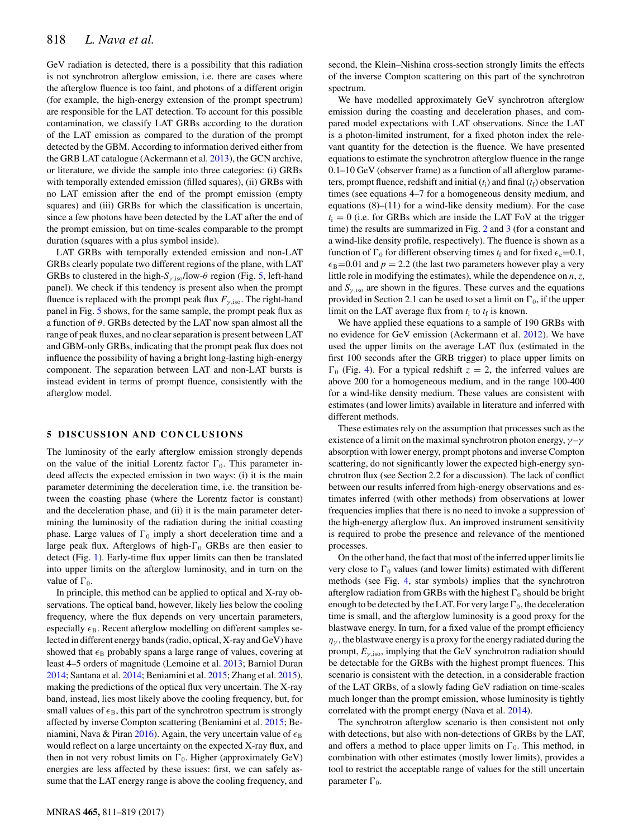GeV radiation is detected, there is a possibility that this radiation is not synchrotron afterglow emission, i.e. there are cases where the afterglow fluence is too faint, and photons of a different origin (for example, the high-energy extension of the prompt spectrum) are responsible for the LAT detection. To account for this possible contamination, we classify LAT GRBs according to the duration of the LAT emission as compared to the duration of the prompt detected by the GBM. According to information derived either from the GRB LAT catalogue (Ackermann et al. [2013\)](#page-8-26), the GCN archive, or literature, we divide the sample into three categories: (i) GRBs with temporally extended emission (filled squares), (ii) GRBs with no LAT emission after the end of the prompt emission (empty squares) and (iii) GRBs for which the classification is uncertain, since a few photons have been detected by the LAT after the end of the prompt emission, but on time-scales comparable to the prompt duration (squares with a plus symbol inside).

LAT GRBs with temporally extended emission and non-LAT GRBs clearly populate two different regions of the plane, with LAT GRBs to clustered in the high- $S_{\nu \text{ iso}}$ /low- $\theta$  region (Fig. [5,](#page-6-0) left-hand panel). We check if this tendency is present also when the prompt fluence is replaced with the prompt peak flux  $F_{\gamma,iso}$ . The right-hand panel in Fig. [5](#page-6-0) shows, for the same sample, the prompt peak flux as a function of  $\theta$ . GRBs detected by the LAT now span almost all the range of peak fluxes, and no clear separation is present between LAT and GBM-only GRBs, indicating that the prompt peak flux does not influence the possibility of having a bright long-lasting high-energy component. The separation between LAT and non-LAT bursts is instead evident in terms of prompt fluence, consistently with the afterglow model.

### **5 DISCUSSION AND CONCLUSIONS**

The luminosity of the early afterglow emission strongly depends on the value of the initial Lorentz factor  $\Gamma_0$ . This parameter indeed affects the expected emission in two ways: (i) it is the main parameter determining the deceleration time, i.e. the transition between the coasting phase (where the Lorentz factor is constant) and the deceleration phase, and (ii) it is the main parameter determining the luminosity of the radiation during the initial coasting phase. Large values of  $\Gamma_0$  imply a short deceleration time and a large peak flux. Afterglows of high- $\Gamma_0$  GRBs are then easier to detect (Fig. [1\)](#page-2-0). Early-time flux upper limits can then be translated into upper limits on the afterglow luminosity, and in turn on the value of  $\Gamma_0$ .

In principle, this method can be applied to optical and X-ray observations. The optical band, however, likely lies below the cooling frequency, where the flux depends on very uncertain parameters, especially  $\epsilon_B$ . Recent afterglow modelling on different samples selected in different energy bands (radio, optical, X-ray and GeV) have showed that  $\epsilon_B$  probably spans a large range of values, covering at least 4–5 orders of magnitude (Lemoine et al. [2013;](#page-8-40) Barniol Duran [2014;](#page-8-43) Santana et al. [2014;](#page-8-44) Beniamini et al. [2015;](#page-8-28) Zhang et al. [2015\)](#page-8-45), making the predictions of the optical flux very uncertain. The X-ray band, instead, lies most likely above the cooling frequency, but, for small values of  $\epsilon_B$ , this part of the synchrotron spectrum is strongly affected by inverse Compton scattering (Beniamini et al. [2015;](#page-8-28) Be-niamini, Nava & Piran [2016\)](#page-8-46). Again, the very uncertain value of  $\epsilon_B$ would reflect on a large uncertainty on the expected X-ray flux, and then in not very robust limits on  $\Gamma_0$ . Higher (approximately GeV) energies are less affected by these issues: first, we can safely assume that the LAT energy range is above the cooling frequency, and

second, the Klein–Nishina cross-section strongly limits the effects of the inverse Compton scattering on this part of the synchrotron spectrum.

We have modelled approximately GeV synchrotron afterglow emission during the coasting and deceleration phases, and compared model expectations with LAT observations. Since the LAT is a photon-limited instrument, for a fixed photon index the relevant quantity for the detection is the fluence. We have presented equations to estimate the synchrotron afterglow fluence in the range 0.1–10 GeV (observer frame) as a function of all afterglow parameters, prompt fluence, redshift and initial  $(t_i)$  and final  $(t_f)$  observation times (see equations 4–7 for a homogeneous density medium, and equations (8)–(11) for a wind-like density medium). For the case  $t_i = 0$  (i.e. for GRBs which are inside the LAT FoV at the trigger time) the results are summarized in Fig. [2](#page-3-0) and [3](#page-4-0) (for a constant and a wind-like density profile, respectively). The fluence is shown as a function of  $\Gamma_0$  for different observing times  $t_f$  and for fixed  $\epsilon_e$ =0.1,  $\epsilon_B$ =0.01 and  $p = 2.2$  (the last two parameters however play a very little role in modifying the estimates), while the dependence on *n*, *z*, and  $S_{\gamma,iso}$  are shown in the figures. These curves and the equations provided in Section 2.1 can be used to set a limit on  $\Gamma_0$ , if the upper limit on the LAT average flux from  $t_i$  to  $t_f$  is known.

We have applied these equations to a sample of 190 GRBs with no evidence for GeV emission (Ackermann et al. [2012\)](#page-8-25). We have used the upper limits on the average LAT flux (estimated in the first 100 seconds after the GRB trigger) to place upper limits on  $\Gamma_0$  (Fig. [4\)](#page-5-0). For a typical redshift  $z = 2$ , the inferred values are above 200 for a homogeneous medium, and in the range 100-400 for a wind-like density medium. These values are consistent with estimates (and lower limits) available in literature and inferred with different methods.

These estimates rely on the assumption that processes such as the existence of a limit on the maximal synchrotron photon energy,  $\gamma - \gamma$ absorption with lower energy, prompt photons and inverse Compton scattering, do not significantly lower the expected high-energy synchrotron flux (see Section 2.2 for a discussion). The lack of conflict between our results inferred from high-energy observations and estimates inferred (with other methods) from observations at lower frequencies implies that there is no need to invoke a suppression of the high-energy afterglow flux. An improved instrument sensitivity is required to probe the presence and relevance of the mentioned processes.

On the other hand, the fact that most of the inferred upper limits lie very close to  $\Gamma_0$  values (and lower limits) estimated with different methods (see Fig. [4,](#page-5-0) star symbols) implies that the synchrotron afterglow radiation from GRBs with the highest  $\Gamma_0$  should be bright enough to be detected by the LAT. For very large  $\Gamma_0$ , the deceleration time is small, and the afterglow luminosity is a good proxy for the blastwave energy. In turn, for a fixed value of the prompt efficiency  $\eta_{\gamma}$ , the blastwave energy is a proxy for the energy radiated during the prompt,  $E_{\gamma,iso}$ , implying that the GeV synchrotron radiation should be detectable for the GRBs with the highest prompt fluences. This scenario is consistent with the detection, in a considerable fraction of the LAT GRBs, of a slowly fading GeV radiation on time-scales much longer than the prompt emission, whose luminosity is tightly correlated with the prompt energy (Nava et al. [2014\)](#page-8-23).

The synchrotron afterglow scenario is then consistent not only with detections, but also with non-detections of GRBs by the LAT, and offers a method to place upper limits on  $\Gamma_0$ . This method, in combination with other estimates (mostly lower limits), provides a tool to restrict the acceptable range of values for the still uncertain parameter  $\Gamma_0$ .